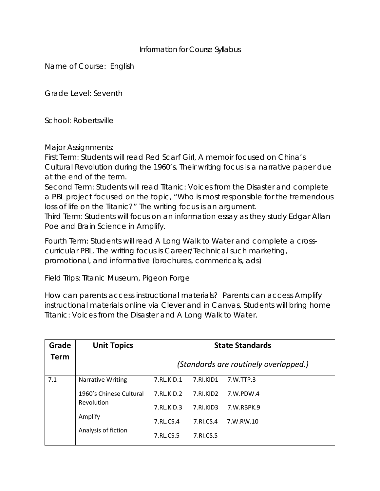## Information for Course Syllabus

Name of Course: English

Grade Level: Seventh

School: Robertsville

Major Assignments:

First Term: Students will read *Red Scarf Girl,* A memoir focused on China's Cultural Revolution during the 1960's. Their writing focus is a narrative paper due at the end of the term.

Second Term: Students will read *Titanic: Voices from the Disaster* and complete a PBL project focused on the topic, "Who is most responsible for the tremendous loss of life on the Titanic?" The writing focus is an argument.

Third Term: Students will focus on an information essay as they study Edgar Allan Poe and Brain Science in Amplify.

Fourth Term: Students will read *A Long Walk to Water* and complete a crosscurricular PBL. The writing focus is Career/Technical such marketing, promotional, and informative (brochures, commericals, ads)

Field Trips: Titanic Museum, Pigeon Forge

How can parents access instructional materials? Parents can access Amplify instructional materials online via Clever and in Canvas. Students will bring home *Titanic: Voices from the Disaster* and *A Long Walk to Water.*

| Grade | <b>Unit Topics</b>                           | <b>State Standards</b>                |           |            |  |
|-------|----------------------------------------------|---------------------------------------|-----------|------------|--|
| Term  |                                              | (Standards are routinely overlapped.) |           |            |  |
| 7.1   | <b>Narrative Writing</b>                     | 7.RL.KID.1                            | 7.RI.KID1 | 7.W.TTP.3  |  |
|       | 1960's Chinese Cultural                      | 7.RLKID.2                             | 7.RI.KID2 | 7.W.PDW.4  |  |
|       | Revolution<br>Amplify<br>Analysis of fiction | 7.RL.KID.3                            | 7.RI.KID3 | 7.W.RBPK.9 |  |
|       |                                              | 7.RL.CS.4                             | 7.RI.CS.4 | 7.W.RW.10  |  |
|       |                                              | 7.RL.CS.5                             | 7.RI.CS.5 |            |  |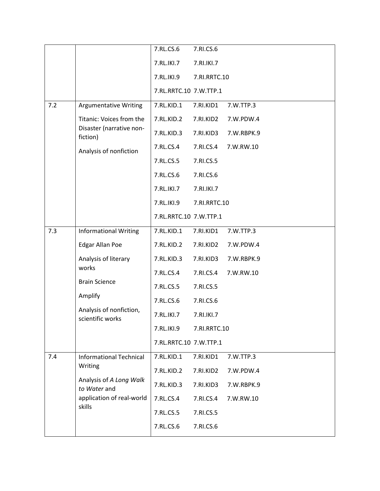|     |                                                                                                                             | 7.RL.CS.6              | 7.RI.CS.6    |            |  |
|-----|-----------------------------------------------------------------------------------------------------------------------------|------------------------|--------------|------------|--|
|     |                                                                                                                             | 7.RL.IKI.7             | 7.RI.IKI.7   |            |  |
|     |                                                                                                                             | 7.RL.IKI.9             | 7.RI.RRTC.10 |            |  |
|     |                                                                                                                             | 7.RL.RRTC.10 7.W.TTP.1 |              |            |  |
| 7.2 | <b>Argumentative Writing</b>                                                                                                | 7.RL.KID.1             | 7.RI.KID1    | 7.W.TTP.3  |  |
|     | Titanic: Voices from the<br>Disaster (narrative non-<br>fiction)                                                            | 7.RL.KID.2             | 7.RI.KID2    | 7.W.PDW.4  |  |
|     |                                                                                                                             | 7.RL.KID.3             | 7.RI.KID3    | 7.W.RBPK.9 |  |
|     | Analysis of nonfiction                                                                                                      | 7.RL.CS.4              | 7.RI.CS.4    | 7.W.RW.10  |  |
|     |                                                                                                                             | 7.RL.CS.5              | 7.RI.CS.5    |            |  |
|     |                                                                                                                             | 7.RL.CS.6              | 7.RI.CS.6    |            |  |
|     |                                                                                                                             | 7.RL.IKI.7             | 7.RI.IKI.7   |            |  |
|     |                                                                                                                             | 7.RL.IKI.9             | 7.RI.RRTC.10 |            |  |
|     |                                                                                                                             | 7.RL.RRTC.10 7.W.TTP.1 |              |            |  |
| 7.3 | <b>Informational Writing</b>                                                                                                | 7.RL.KID.1             | 7.RI.KID1    | 7.W.TTP.3  |  |
|     | Edgar Allan Poe                                                                                                             | 7.RL.KID.2             | 7.RI.KID2    | 7.W.PDW.4  |  |
|     | Analysis of literary<br>works<br><b>Brain Science</b><br>Amplify<br>Analysis of nonfiction,<br>scientific works             | 7.RL.KID.3             | 7.RI.KID3    | 7.W.RBPK.9 |  |
|     |                                                                                                                             | 7.RL.CS.4              | 7.RI.CS.4    | 7.W.RW.10  |  |
|     |                                                                                                                             | 7.RL.CS.5              | 7.RI.CS.5    |            |  |
|     |                                                                                                                             | 7.RL.CS.6              | 7.RI.CS.6    |            |  |
|     |                                                                                                                             | 7.RL.IKI.7             | 7.RI.IKI.7   |            |  |
|     |                                                                                                                             | 7.RL.IKI.9             | 7.RI.RRTC.10 |            |  |
|     |                                                                                                                             | 7.RL.RRTC.10 7.W.TTP.1 |              |            |  |
| 7.4 | <b>Informational Technical</b><br>Writing<br>Analysis of A Long Walk<br>to Water and<br>application of real-world<br>skills | 7.RL.KID.1             | 7.RI.KID1    | 7.W.TTP.3  |  |
|     |                                                                                                                             | 7.RL.KID.2             | 7.RI.KID2    | 7.W.PDW.4  |  |
|     |                                                                                                                             | 7.RL.KID.3             | 7.RI.KID3    | 7.W.RBPK.9 |  |
|     |                                                                                                                             | 7.RL.CS.4              | 7.RI.CS.4    | 7.W.RW.10  |  |
|     |                                                                                                                             | 7.RL.CS.5              | 7.RI.CS.5    |            |  |
|     |                                                                                                                             | 7.RL.CS.6              | 7.RI.CS.6    |            |  |
|     |                                                                                                                             |                        |              |            |  |